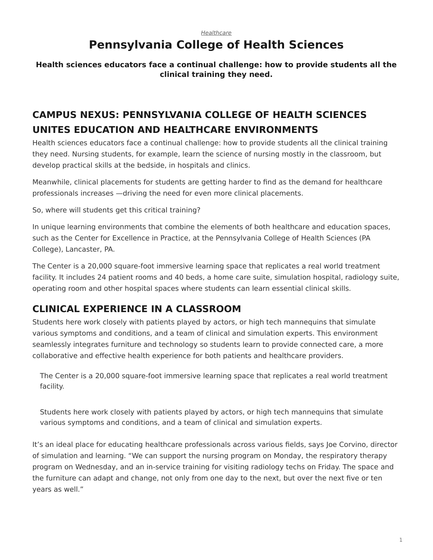#### *[Healthcare](https://www.steelcase.com/research/topics/healthcare/)*

# **Pennsylvania College of Health Sciences**

#### <span id="page-0-0"></span>**Health sciences educators face a continual challenge: how to provide students all the clinical training they need.**

## **CAMPUS NEXUS: PENNSYLVANIA COLLEGE OF HEALTH SCIENCES UNITES EDUCATION AND HEALTHCARE ENVIRONMENTS**

Health sciences educators face a continual challenge: how to provide students all the clinical training they need. Nursing students, for example, learn the science of nursing mostly in the classroom, but develop practical skills at the bedside, in hospitals and clinics.

Meanwhile, clinical placements for students are getting harder to find as the demand for healthcare professionals increases —driving the need for even more clinical placements.

So, where will students get this critical training?

In unique learning environments that combine the elements of both healthcare and education spaces, such as the Center for Excellence in Practice, at the Pennsylvania College of Health Sciences (PA College), Lancaster, PA.

The Center is a 20,000 square-foot immersive learning space that replicates a real world treatment facility. It includes 24 patient rooms and 40 beds, a home care suite, simulation hospital, radiology suite, operating room and other hospital spaces where students can learn essential clinical skills.

### **CLINICAL EXPERIENCE IN A CLASSROOM**

Students here work closely with patients played by actors, or high tech mannequins that simulate various symptoms and conditions, and a team of clinical and simulation experts. This environment seamlessly integrates furniture and technology so students learn to provide connected care, a more collaborative and effective health experience for both patients and healthcare providers.

The Center is a 20,000 square-foot immersive learning space that replicates a real world treatment facility.

Students here work closely with patients played by actors, or high tech mannequins that simulate various symptoms and conditions, and a team of clinical and simulation experts.

It's an ideal place for educating healthcare professionals across various fields, says Joe Corvino, director of simulation and learning. "We can support the nursing program on Monday, the respiratory therapy program on Wednesday, and an in-service training for visiting radiology techs on Friday. The space and the furniture can adapt and change, not only from one day to the next, but over the next five or ten years as well."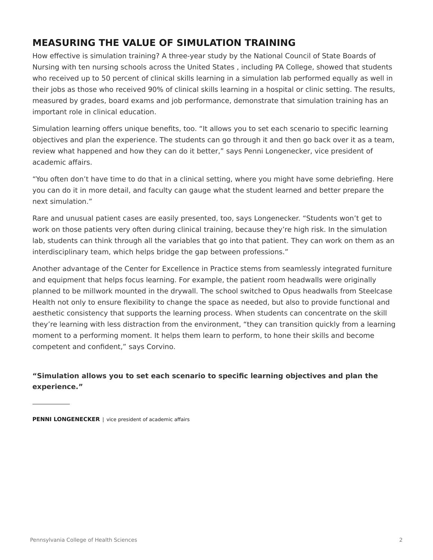### **MEASURING THE VALUE OF SIMULATION TRAINING**

How effective is simulation training? A three-year study by the National Council of State Boards of Nursing with ten nursing schools across the United States , including PA College, showed that students who received up to 50 percent of clinical skills learning in a simulation lab performed equally as well in their jobs as those who received 90% of clinical skills learning in a hospital or clinic setting. The results, measured by grades, board exams and job performance, demonstrate that simulation training has an important role in clinical education.

Simulation learning offers unique benefits, too. "It allows you to set each scenario to specific learning objectives and plan the experience. The students can go through it and then go back over it as a team, review what happened and how they can do it better," says Penni Longenecker, vice president of academic affairs.

"You often don't have time to do that in a clinical setting, where you might have some debriefing. Here you can do it in more detail, and faculty can gauge what the student learned and better prepare the next simulation."

Rare and unusual patient cases are easily presented, too, says Longenecker. "Students won't get to work on those patients very often during clinical training, because they're high risk. In the simulation lab, students can think through all the variables that go into that patient. They can work on them as an interdisciplinary team, which helps bridge the gap between professions."

Another advantage of the Center for Excellence in Practice stems from seamlessly integrated furniture and equipment that helps focus learning. For example, the patient room headwalls were originally planned to be millwork mounted in the drywall. The school switched to Opus headwalls from Steelcase Health not only to ensure flexibility to change the space as needed, but also to provide functional and aesthetic consistency that supports the learning process. When students can concentrate on the skill they're learning with less distraction from the environment, "they can transition quickly from a learning moment to a performing moment. It helps them learn to perform, to hone their skills and become competent and confident," says Corvino.

#### **"Simulation allows you to set each scenario to specific learning objectives and plan the experience."**

**PENNI LONGENECKER** | vice president of academic affairs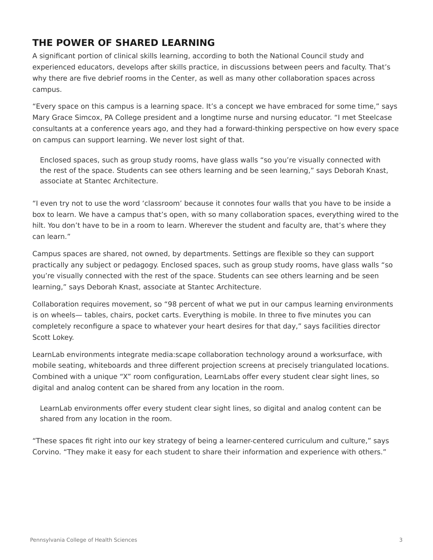### **THE POWER OF SHARED LEARNING**

A significant portion of clinical skills learning, according to both the National Council study and experienced educators, develops after skills practice, in discussions between peers and faculty. That's why there are five debrief rooms in the Center, as well as many other collaboration spaces across campus.

"Every space on this campus is a learning space. It's a concept we have embraced for some time," says Mary Grace Simcox, PA College president and a longtime nurse and nursing educator. "I met Steelcase consultants at a conference years ago, and they had a forward-thinking perspective on how every space on campus can support learning. We never lost sight of that.

Enclosed spaces, such as group study rooms, have glass walls "so you're visually connected with the rest of the space. Students can see others learning and be seen learning," says Deborah Knast, associate at Stantec Architecture.

"I even try not to use the word 'classroom' because it connotes four walls that you have to be inside a box to learn. We have a campus that's open, with so many collaboration spaces, everything wired to the hilt. You don't have to be in a room to learn. Wherever the student and faculty are, that's where they can learn."

Campus spaces are shared, not owned, by departments. Settings are flexible so they can support practically any subject or pedagogy. Enclosed spaces, such as group study rooms, have glass walls "so you're visually connected with the rest of the space. Students can see others learning and be seen learning," says Deborah Knast, associate at Stantec Architecture.

Collaboration requires movement, so "98 percent of what we put in our campus learning environments is on wheels— tables, chairs, pocket carts. Everything is mobile. In three to five minutes you can completely reconfigure a space to whatever your heart desires for that day," says facilities director Scott Lokey.

LearnLab environments integrate media:scape collaboration technology around a worksurface, with mobile seating, whiteboards and three different projection screens at precisely triangulated locations. Combined with a unique "X" room configuration, LearnLabs offer every student clear sight lines, so digital and analog content can be shared from any location in the room.

LearnLab environments offer every student clear sight lines, so digital and analog content can be shared from any location in the room.

"These spaces fit right into our key strategy of being a learner-centered curriculum and culture," says Corvino. "They make it easy for each student to share their information and experience with others."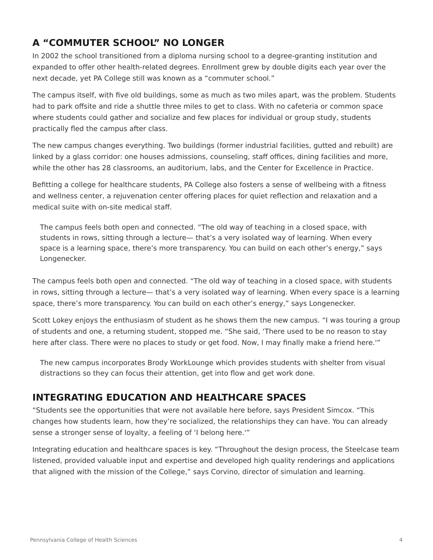### **A "COMMUTER SCHOOL" NO LONGER**

In 2002 the school transitioned from a diploma nursing school to a degree-granting institution and expanded to offer other health-related degrees. Enrollment grew by double digits each year over the next decade, yet PA College still was known as a "commuter school."

The campus itself, with five old buildings, some as much as two miles apart, was the problem. Students had to park offsite and ride a shuttle three miles to get to class. With no cafeteria or common space where students could gather and socialize and few places for individual or group study, students practically fled the campus after class.

The new campus changes everything. Two buildings (former industrial facilities, gutted and rebuilt) are linked by a glass corridor: one houses admissions, counseling, staff offices, dining facilities and more, while the other has 28 classrooms, an auditorium, labs, and the Center for Excellence in Practice.

Befitting a college for healthcare students, PA College also fosters a sense of wellbeing with a fitness and wellness center, a rejuvenation center offering places for quiet reflection and relaxation and a medical suite with on-site medical staff.

The campus feels both open and connected. "The old way of teaching in a closed space, with students in rows, sitting through a lecture— that's a very isolated way of learning. When every space is a learning space, there's more transparency. You can build on each other's energy," says Longenecker.

The campus feels both open and connected. "The old way of teaching in a closed space, with students in rows, sitting through a lecture— that's a very isolated way of learning. When every space is a learning space, there's more transparency. You can build on each other's energy," says Longenecker.

Scott Lokey enjoys the enthusiasm of student as he shows them the new campus. "I was touring a group of students and one, a returning student, stopped me. "She said, 'There used to be no reason to stay here after class. There were no places to study or get food. Now, I may finally make a friend here.'"

The new campus incorporates Brody WorkLounge which provides students with shelter from visual distractions so they can focus their attention, get into flow and get work done.

### **INTEGRATING EDUCATION AND HEALTHCARE SPACES**

"Students see the opportunities that were not available here before, says President Simcox. "This changes how students learn, how they're socialized, the relationships they can have. You can already sense a stronger sense of loyalty, a feeling of 'I belong here.'"

Integrating education and healthcare spaces is key. "Throughout the design process, the Steelcase team listened, provided valuable input and expertise and developed high quality renderings and applications that aligned with the mission of the College," says Corvino, director of simulation and learning.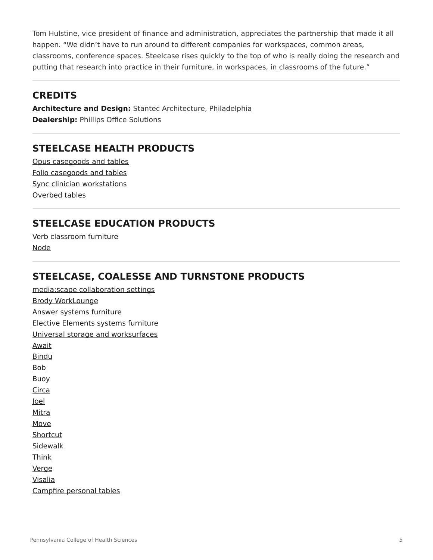Tom Hulstine, vice president of finance and administration, appreciates the partnership that made it all happen. "We didn't have to run around to different companies for workspaces, common areas, classrooms, conference spaces. Steelcase rises quickly to the top of who is really doing the research and putting that research into practice in their furniture, in workspaces, in classrooms of the future."

#### **CREDITS**

**Architecture and Design:** Stantec Architecture, Philadelphia **Dealership:** Phillips Office Solutions

### **STEELCASE HEALTH PRODUCTS**

[Opus casegoods and tables](https://www.steelcase.com/products/bins-shelves/opus/) [Folio casegoods and tables](https://www.steelcase.com/products/bookcases-cabinets/folio/) [Sync clinician workstations](https://www.steelcase.com/products/desk-systems/sync/) [Overbed tables](https://www.steelcase.com/products/height-adjustable-desks/overbed-tables/)

#### **STEELCASE EDUCATION PRODUCTS**

[Verb classroom furniture](https://www.steelcase.com/products/conference-classroom-tables/verb/) [Node](https://www.steelcase.com/products/collaborative-chairs/node/)

#### **STEELCASE, COALESSE AND TURNSTONE PRODUCTS**

[media:scape collaboration settings](https://www.steelcase.com/products/collaboration/mediascape/) [Brody WorkLounge](https://www.steelcase.com/products/lounge-seating/brody/) [Answer systems furniture](/products/beams/answer-beam/) [Elective Elements systems furniture](https://www.steelcase.com/products/desk-systems/elective-elements/) [Universal storage and worksurfaces](https://www.steelcase.com/products/bins-shelves/universal-storage/) [Await](https://www.steelcase.com/products/occasional-tables/await-table/) [Bindu](https://www.steelcase.com/products/guest-chairs-stools/bindu/) [Bob](https://www.steelcase.com/products/side-guest-chairs/bob-seating/) [Buoy](https://www.steelcase.com/products/education-lounge-seating/turnstone-buoy/) [Circa](https://www.steelcase.com/products/sofas/circa-lounge-system/) [Joel](https://www.steelcase.com/products/lounge-chairs/joel-lounge-chair/) [Mitra](https://www.steelcase.com/products/sofas/mitra-sleeper/) [Move](https://www.steelcase.com/products/guest-chairs-stools/move/) [Shortcut](https://www.steelcase.com/products/conference-chairs/turnstone-shortcut-with-tripod-base/) [Sidewalk](https://www.steelcase.com/products/benches-ottomans/sidewalk-ottoman/) [Think](https://www.steelcase.com/products/office-chairs/think/) [Verge](https://www.steelcase.com/products/healthcare-seating/verge/) [Visalia](https://www.steelcase.com/products/sofas/visalia-lounge-seating/)